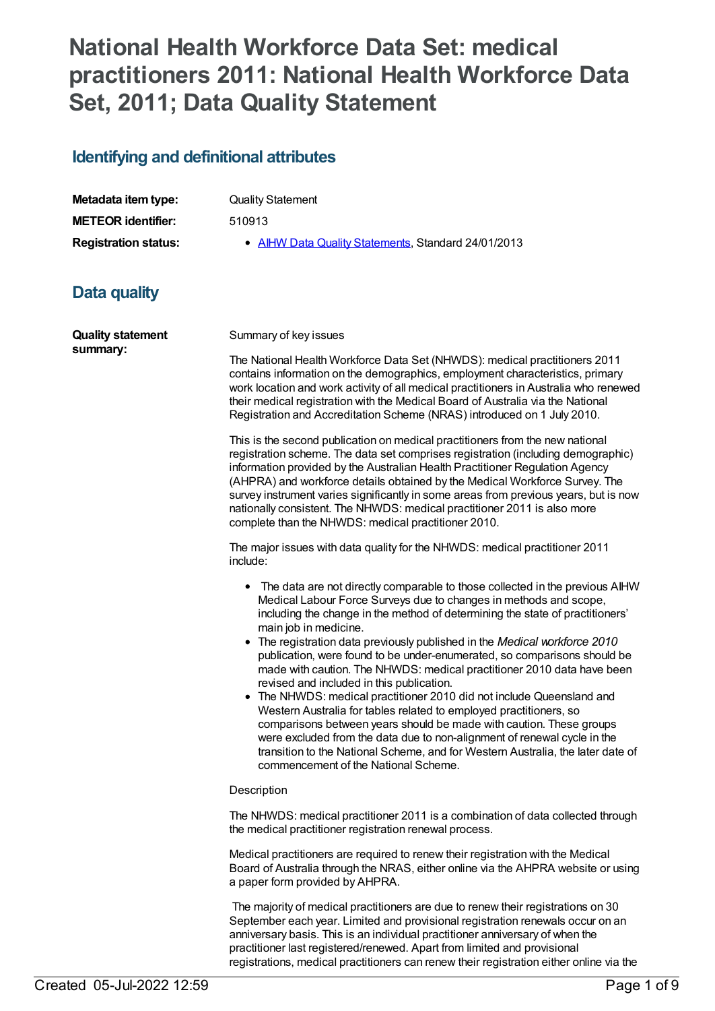## **National Health Workforce Data Set: medical practitioners 2011: National Health Workforce Data Set, 2011; Data Quality Statement**

### **Identifying and definitional attributes**

| Metadata item type:         | <b>Quality Statement</b>                            |
|-----------------------------|-----------------------------------------------------|
| <b>METEOR</b> identifier:   | 510913                                              |
| <b>Registration status:</b> | • AIHW Data Quality Statements, Standard 24/01/2013 |

## **Data quality**

| <b>Quality statement</b><br>summary: | Summary of key issues                                                                                                                                                                                                                                                                                                                                                                                                                                                                                                                                                                                                                                                                                                                                                                                                                                                                                                                                                          |  |
|--------------------------------------|--------------------------------------------------------------------------------------------------------------------------------------------------------------------------------------------------------------------------------------------------------------------------------------------------------------------------------------------------------------------------------------------------------------------------------------------------------------------------------------------------------------------------------------------------------------------------------------------------------------------------------------------------------------------------------------------------------------------------------------------------------------------------------------------------------------------------------------------------------------------------------------------------------------------------------------------------------------------------------|--|
|                                      | The National Health Workforce Data Set (NHWDS): medical practitioners 2011<br>contains information on the demographics, employment characteristics, primary<br>work location and work activity of all medical practitioners in Australia who renewed<br>their medical registration with the Medical Board of Australia via the National<br>Registration and Accreditation Scheme (NRAS) introduced on 1 July 2010.                                                                                                                                                                                                                                                                                                                                                                                                                                                                                                                                                             |  |
|                                      | This is the second publication on medical practitioners from the new national<br>registration scheme. The data set comprises registration (including demographic)<br>information provided by the Australian Health Practitioner Regulation Agency<br>(AHPRA) and workforce details obtained by the Medical Workforce Survey. The<br>survey instrument varies significantly in some areas from previous years, but is now<br>nationally consistent. The NHWDS: medical practitioner 2011 is also more<br>complete than the NHWDS: medical practitioner 2010.                                                                                                                                                                                                                                                                                                                                                                                                                    |  |
|                                      | The major issues with data quality for the NHWDS: medical practitioner 2011<br>include:                                                                                                                                                                                                                                                                                                                                                                                                                                                                                                                                                                                                                                                                                                                                                                                                                                                                                        |  |
|                                      | The data are not directly comparable to those collected in the previous AIHW<br>٠<br>Medical Labour Force Surveys due to changes in methods and scope,<br>including the change in the method of determining the state of practitioners'<br>main job in medicine.<br>• The registration data previously published in the Medical workforce 2010<br>publication, were found to be under-enumerated, so comparisons should be<br>made with caution. The NHWDS: medical practitioner 2010 data have been<br>revised and included in this publication.<br>• The NHWDS: medical practitioner 2010 did not include Queensland and<br>Western Australia for tables related to employed practitioners, so<br>comparisons between years should be made with caution. These groups<br>were excluded from the data due to non-alignment of renewal cycle in the<br>transition to the National Scheme, and for Western Australia, the later date of<br>commencement of the National Scheme. |  |
|                                      | Description                                                                                                                                                                                                                                                                                                                                                                                                                                                                                                                                                                                                                                                                                                                                                                                                                                                                                                                                                                    |  |
|                                      | The NHWDS: medical practitioner 2011 is a combination of data collected through<br>the medical practitioner registration renewal process.                                                                                                                                                                                                                                                                                                                                                                                                                                                                                                                                                                                                                                                                                                                                                                                                                                      |  |
|                                      | Medical practitioners are required to renew their registration with the Medical<br>Board of Australia through the NRAS, either online via the AHPRA website or using<br>a paper form provided by AHPRA.                                                                                                                                                                                                                                                                                                                                                                                                                                                                                                                                                                                                                                                                                                                                                                        |  |
|                                      | The majority of medical practitioners are due to renew their registrations on 30<br>September each year. Limited and provisional registration renewals occur on an<br>anniversary basis. This is an individual practitioner anniversary of when the<br>practitioner last registered/renewed. Apart from limited and provisional                                                                                                                                                                                                                                                                                                                                                                                                                                                                                                                                                                                                                                                |  |

registrations, medical practitioners can renew their registration either online via the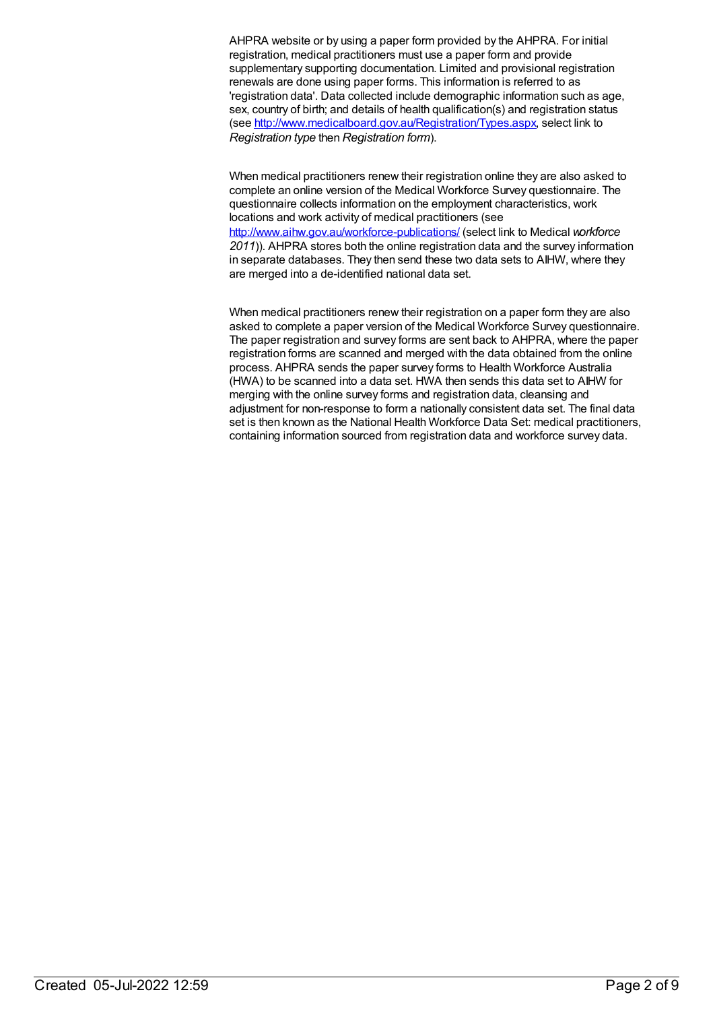AHPRA website or by using a paper form provided by the AHPRA. For initial registration, medical practitioners must use a paper form and provide supplementary supporting documentation. Limited and provisional registration renewals are done using paper forms. This information is referred to as 'registration data'. Data collected include demographic information such as age, sex, country of birth; and details of health qualification(s) and registration status (see <http://www.medicalboard.gov.au/Registration/Types.aspx>, select link to *Registration type* then *Registration form*).

When medical practitioners renew their registration online they are also asked to complete an online version of the Medical Workforce Survey questionnaire. The questionnaire collects information on the employment characteristics, work locations and work activity of medical practitioners (see <http://www.aihw.gov.au/workforce-publications/> (select link to Medical *workforce 2011*)). AHPRA stores both the online registration data and the survey information in separate databases. They then send these two data sets to AIHW, where they are merged into a de-identified national data set.

When medical practitioners renew their registration on a paper form they are also asked to complete a paper version of the Medical Workforce Survey questionnaire. The paper registration and survey forms are sent back to AHPRA, where the paper registration forms are scanned and merged with the data obtained from the online process. AHPRA sends the paper survey forms to Health Workforce Australia (HWA) to be scanned into a data set. HWA then sends this data set to AIHW for merging with the online survey forms and registration data, cleansing and adjustment for non-response to form a nationally consistent data set. The final data set is then known as the National Health Workforce Data Set: medical practitioners, containing information sourced from registration data and workforce survey data.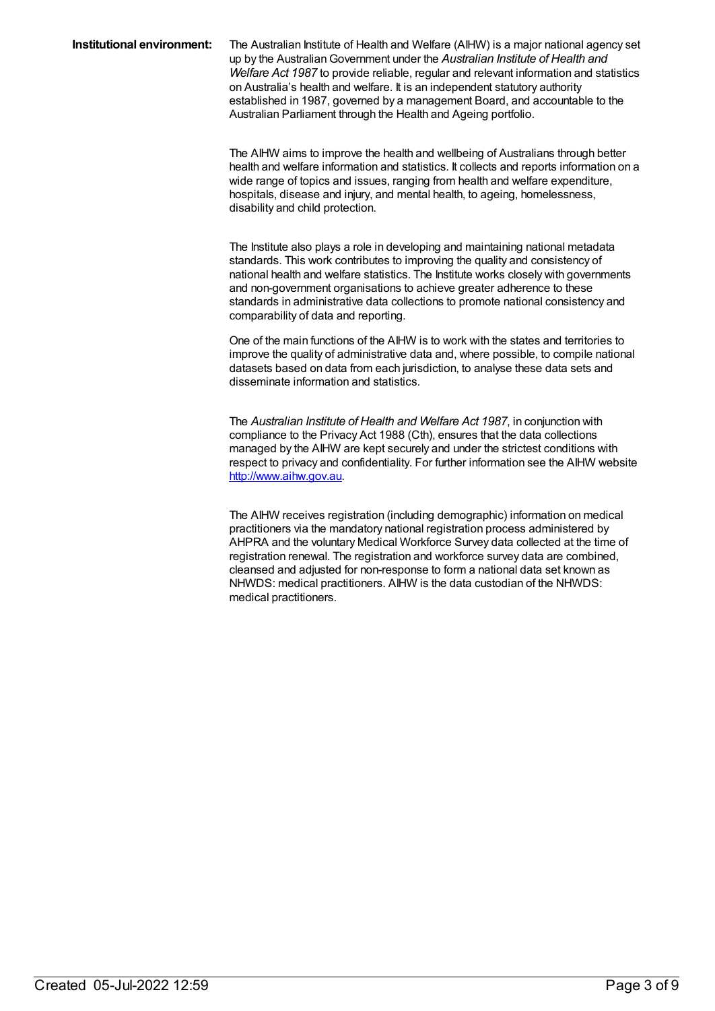#### **Institutional environment:** The Australian Institute of Health and Welfare (AIHW) is a major national agency set up by the AustralianGovernment under the *Australian Institute of Health and Welfare Act 1987* to provide reliable, regular and relevant information and statistics on Australia's health and welfare. It is an independent statutory authority established in 1987, governed by a management Board, and accountable to the Australian Parliament through the Health and Ageing portfolio.

The AIHW aims to improve the health and wellbeing of Australians through better health and welfare information and statistics. It collects and reports information on a wide range of topics and issues, ranging from health and welfare expenditure, hospitals, disease and injury, and mental health, to ageing, homelessness, disability and child protection.

The Institute also plays a role in developing and maintaining national metadata standards. This work contributes to improving the quality and consistency of national health and welfare statistics. The Institute works closely with governments and non-government organisations to achieve greater adherence to these standards in administrative data collections to promote national consistency and comparability of data and reporting.

One of the main functions of the AIHW is to work with the states and territories to improve the quality of administrative data and, where possible, to compile national datasets based on data from each jurisdiction, to analyse these data sets and disseminate information and statistics.

The *Australian Institute of Health and Welfare Act 1987*, in conjunction with compliance to the Privacy Act 1988 (Cth), ensures that the data collections managed by the AIHW are kept securely and under the strictest conditions with respect to privacy and confidentiality. For further information see the AIHW website <http://www.aihw.gov.au>.

The AIHW receives registration (including demographic) information on medical practitioners via the mandatory national registration process administered by AHPRA and the voluntary Medical Workforce Survey data collected at the time of registration renewal. The registration and workforce survey data are combined, cleansed and adjusted for non-response to form a national data set known as NHWDS: medical practitioners. AIHW is the data custodian of the NHWDS: medical practitioners.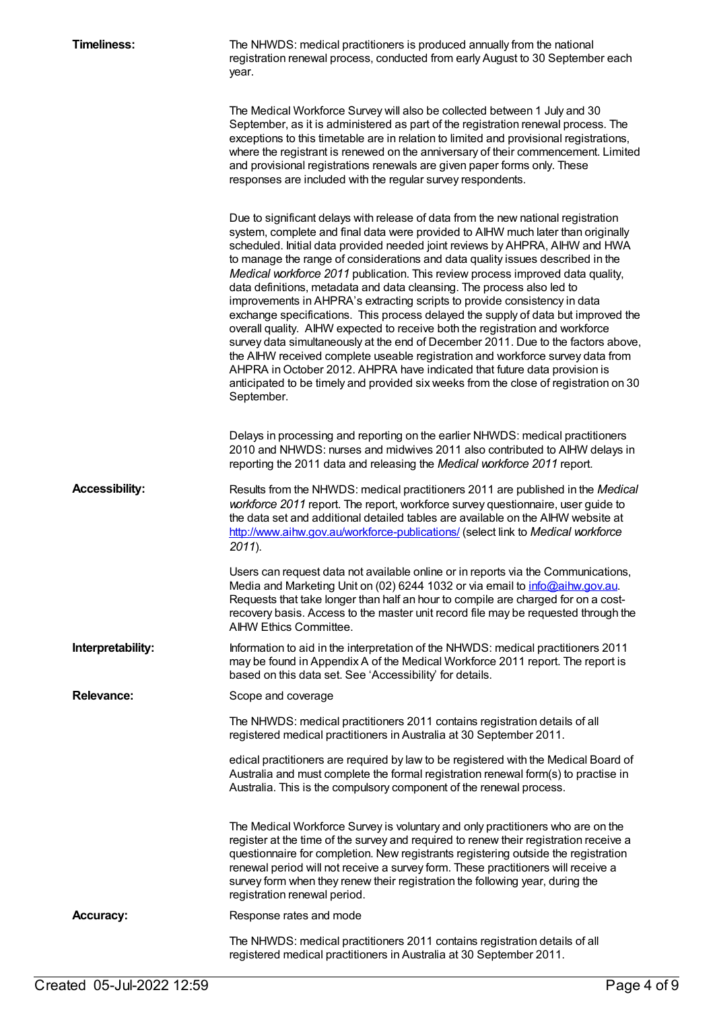| <b>Timeliness:</b>    | The NHWDS: medical practitioners is produced annually from the national<br>registration renewal process, conducted from early August to 30 September each<br>year.                                                                                                                                                                                                                                                                                                                                                                                                                                                                                                                                                                                                                                                                                                                                                                                                                                                                                                                                               |
|-----------------------|------------------------------------------------------------------------------------------------------------------------------------------------------------------------------------------------------------------------------------------------------------------------------------------------------------------------------------------------------------------------------------------------------------------------------------------------------------------------------------------------------------------------------------------------------------------------------------------------------------------------------------------------------------------------------------------------------------------------------------------------------------------------------------------------------------------------------------------------------------------------------------------------------------------------------------------------------------------------------------------------------------------------------------------------------------------------------------------------------------------|
|                       | The Medical Workforce Survey will also be collected between 1 July and 30<br>September, as it is administered as part of the registration renewal process. The<br>exceptions to this timetable are in relation to limited and provisional registrations,<br>where the registrant is renewed on the anniversary of their commencement. Limited<br>and provisional registrations renewals are given paper forms only. These<br>responses are included with the regular survey respondents.                                                                                                                                                                                                                                                                                                                                                                                                                                                                                                                                                                                                                         |
|                       | Due to significant delays with release of data from the new national registration<br>system, complete and final data were provided to AIHW much later than originally<br>scheduled. Initial data provided needed joint reviews by AHPRA, AIHW and HWA<br>to manage the range of considerations and data quality issues described in the<br>Medical workforce 2011 publication. This review process improved data quality,<br>data definitions, metadata and data cleansing. The process also led to<br>improvements in AHPRA's extracting scripts to provide consistency in data<br>exchange specifications. This process delayed the supply of data but improved the<br>overall quality. AIHW expected to receive both the registration and workforce<br>survey data simultaneously at the end of December 2011. Due to the factors above,<br>the AIHW received complete useable registration and workforce survey data from<br>AHPRA in October 2012. AHPRA have indicated that future data provision is<br>anticipated to be timely and provided six weeks from the close of registration on 30<br>September. |
|                       | Delays in processing and reporting on the earlier NHWDS: medical practitioners<br>2010 and NHWDS: nurses and midwives 2011 also contributed to AlHW delays in<br>reporting the 2011 data and releasing the Medical workforce 2011 report.                                                                                                                                                                                                                                                                                                                                                                                                                                                                                                                                                                                                                                                                                                                                                                                                                                                                        |
| <b>Accessibility:</b> | Results from the NHWDS: medical practitioners 2011 are published in the Medical<br>workforce 2011 report. The report, workforce survey questionnaire, user guide to<br>the data set and additional detailed tables are available on the AIHW website at<br>http://www.aihw.gov.au/workforce-publications/ (select link to Medical workforce<br>$2011$ ).                                                                                                                                                                                                                                                                                                                                                                                                                                                                                                                                                                                                                                                                                                                                                         |
|                       | Users can request data not available online or in reports via the Communications,<br>Media and Marketing Unit on (02) 6244 1032 or via email to info@aihw.gov.au.<br>Requests that take longer than half an hour to compile are charged for on a cost-<br>recovery basis. Access to the master unit record file may be requested through the<br>AIHW Ethics Committee.                                                                                                                                                                                                                                                                                                                                                                                                                                                                                                                                                                                                                                                                                                                                           |
| Interpretability:     | Information to aid in the interpretation of the NHWDS: medical practitioners 2011<br>may be found in Appendix A of the Medical Workforce 2011 report. The report is<br>based on this data set. See 'Accessibility' for details.                                                                                                                                                                                                                                                                                                                                                                                                                                                                                                                                                                                                                                                                                                                                                                                                                                                                                  |
| <b>Relevance:</b>     | Scope and coverage                                                                                                                                                                                                                                                                                                                                                                                                                                                                                                                                                                                                                                                                                                                                                                                                                                                                                                                                                                                                                                                                                               |
|                       | The NHWDS: medical practitioners 2011 contains registration details of all<br>registered medical practitioners in Australia at 30 September 2011.                                                                                                                                                                                                                                                                                                                                                                                                                                                                                                                                                                                                                                                                                                                                                                                                                                                                                                                                                                |
|                       | edical practitioners are required by law to be registered with the Medical Board of<br>Australia and must complete the formal registration renewal form(s) to practise in<br>Australia. This is the compulsory component of the renewal process.                                                                                                                                                                                                                                                                                                                                                                                                                                                                                                                                                                                                                                                                                                                                                                                                                                                                 |
|                       | The Medical Workforce Survey is voluntary and only practitioners who are on the<br>register at the time of the survey and required to renew their registration receive a<br>questionnaire for completion. New registrants registering outside the registration<br>renewal period will not receive a survey form. These practitioners will receive a<br>survey form when they renew their registration the following year, during the<br>registration renewal period.                                                                                                                                                                                                                                                                                                                                                                                                                                                                                                                                                                                                                                             |
| <b>Accuracy:</b>      | Response rates and mode                                                                                                                                                                                                                                                                                                                                                                                                                                                                                                                                                                                                                                                                                                                                                                                                                                                                                                                                                                                                                                                                                          |
|                       | The NHWDS: medical practitioners 2011 contains registration details of all<br>registered medical practitioners in Australia at 30 September 2011.                                                                                                                                                                                                                                                                                                                                                                                                                                                                                                                                                                                                                                                                                                                                                                                                                                                                                                                                                                |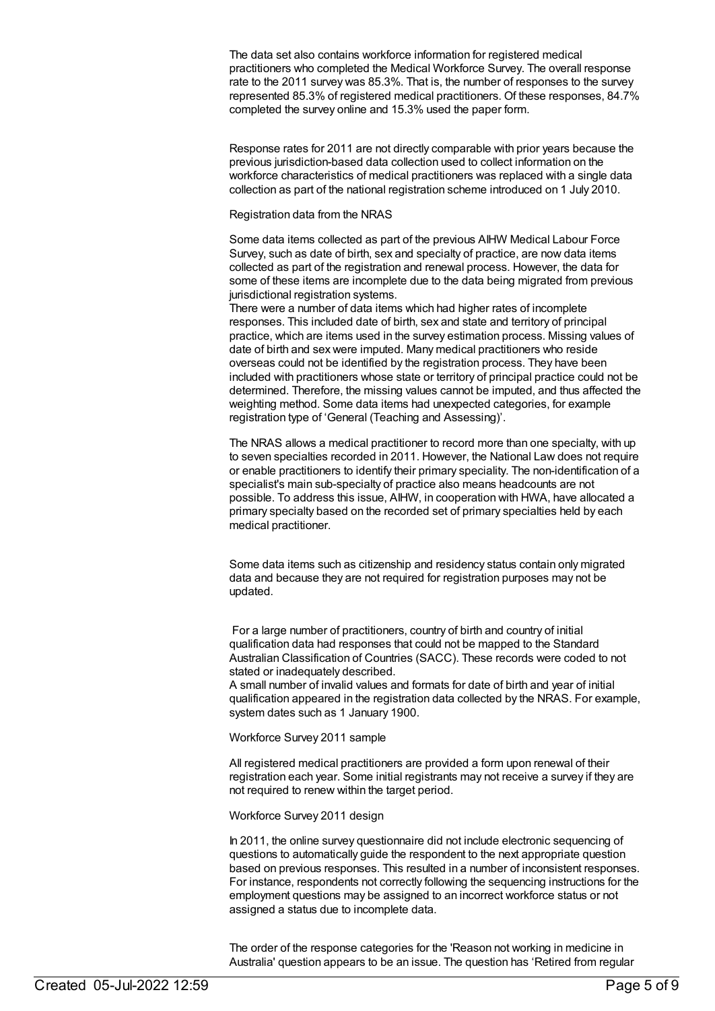The data set also contains workforce information for registered medical practitioners who completed the Medical Workforce Survey. The overall response rate to the 2011 survey was 85.3%. That is, the number of responses to the survey represented 85.3% of registered medical practitioners. Of these responses, 84.7% completed the survey online and 15.3% used the paper form.

Response rates for 2011 are not directly comparable with prior years because the previous jurisdiction-based data collection used to collect information on the workforce characteristics of medical practitioners was replaced with a single data collection as part of the national registration scheme introduced on 1 July 2010.

#### Registration data from the NRAS

Some data items collected as part of the previous AIHW Medical Labour Force Survey, such as date of birth, sex and specialty of practice, are now data items collected as part of the registration and renewal process. However, the data for some of these items are incomplete due to the data being migrated from previous jurisdictional registration systems.

There were a number of data items which had higher rates of incomplete responses. This included date of birth, sex and state and territory of principal practice, which are items used in the survey estimation process. Missing values of date of birth and sex were imputed. Many medical practitioners who reside overseas could not be identified by the registration process. They have been included with practitioners whose state or territory of principal practice could not be determined. Therefore, the missing values cannot be imputed, and thus affected the weighting method. Some data items had unexpected categories, for example registration type of 'General (Teaching and Assessing)'.

The NRAS allows a medical practitioner to record more than one specialty, with up to seven specialties recorded in 2011. However, the National Law does not require or enable practitioners to identify their primary speciality. The non-identification of a specialist's main sub-specialty of practice also means headcounts are not possible. To address this issue, AIHW, in cooperation with HWA, have allocated a primary specialty based on the recorded set of primary specialties held by each medical practitioner.

Some data items such as citizenship and residency status contain only migrated data and because they are not required for registration purposes may not be updated.

For a large number of practitioners, country of birth and country of initial qualification data had responses that could not be mapped to the Standard Australian Classification of Countries (SACC). These records were coded to not stated or inadequately described.

A small number of invalid values and formats for date of birth and year of initial qualification appeared in the registration data collected by the NRAS. For example, system dates such as 1 January 1900.

Workforce Survey 2011 sample

All registered medical practitioners are provided a form upon renewal of their registration each year. Some initial registrants may not receive a survey if they are not required to renew within the target period.

Workforce Survey 2011 design

In 2011, the online survey questionnaire did not include electronic sequencing of questions to automatically guide the respondent to the next appropriate question based on previous responses. This resulted in a number of inconsistent responses. For instance, respondents not correctly following the sequencing instructions for the employment questions may be assigned to an incorrect workforce status or not assigned a status due to incomplete data.

The order of the response categories for the 'Reason not working in medicine in Australia' question appears to be an issue. The question has 'Retired from regular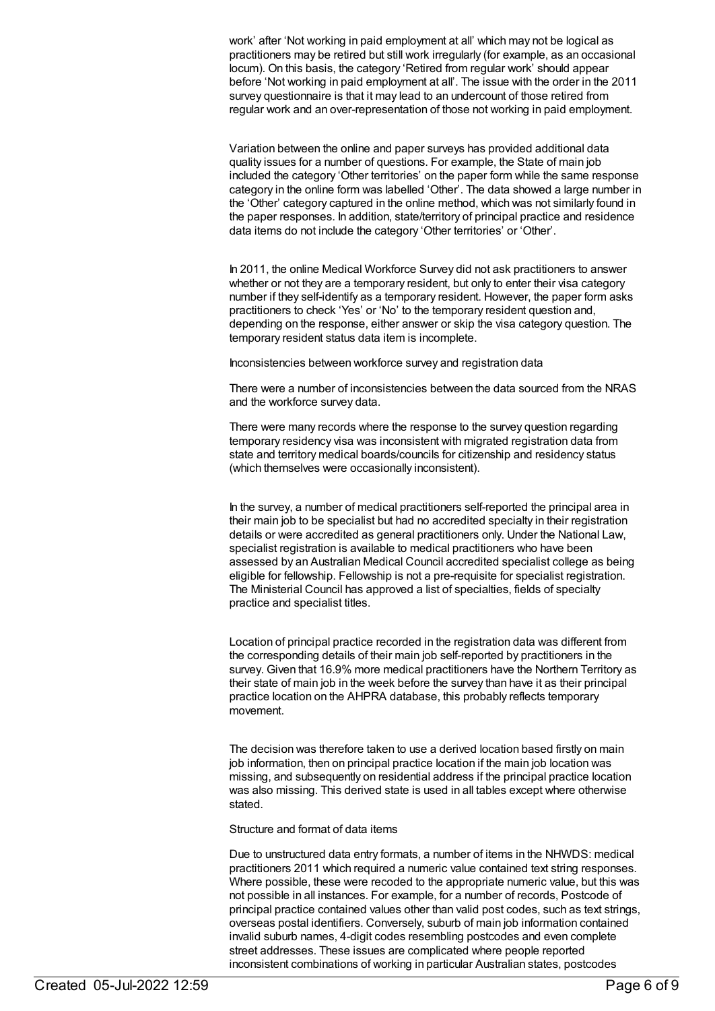work' after 'Not working in paid employment at all' which may not be logical as practitioners may be retired but still work irregularly (for example, as an occasional locum). On this basis, the category 'Retired from regular work' should appear before 'Not working in paid employment at all'. The issue with the order in the 2011 survey questionnaire is that it may lead to an undercount of those retired from regular work and an over-representation of those not working in paid employment.

Variation between the online and paper surveys has provided additional data quality issues for a number of questions. For example, the State of main job included the category 'Other territories' on the paper form while the same response category in the online form was labelled 'Other'. The data showed a large number in the 'Other' category captured in the online method, which was not similarly found in the paper responses. In addition, state/territory of principal practice and residence data items do not include the category 'Other territories' or 'Other'.

In 2011, the online Medical Workforce Survey did not ask practitioners to answer whether or not they are a temporary resident, but only to enter their visa category number if they self-identify as a temporary resident. However, the paper form asks practitioners to check 'Yes' or 'No' to the temporary resident question and, depending on the response, either answer or skip the visa category question. The temporary resident status data item is incomplete.

Inconsistencies between workforce survey and registration data

There were a number of inconsistencies between the data sourced from the NRAS and the workforce survey data.

There were many records where the response to the survey question regarding temporary residency visa was inconsistent with migrated registration data from state and territory medical boards/councils for citizenship and residency status (which themselves were occasionally inconsistent).

In the survey, a number of medical practitioners self-reported the principal area in their main job to be specialist but had no accredited specialty in their registration details or were accredited as general practitioners only. Under the National Law, specialist registration is available to medical practitioners who have been assessed by an Australian Medical Council accredited specialist college as being eligible for fellowship. Fellowship is not a pre-requisite for specialist registration. The Ministerial Council has approved a list of specialties, fields of specialty practice and specialist titles.

Location of principal practice recorded in the registration data was different from the corresponding details of their main job self-reported by practitioners in the survey. Given that 16.9% more medical practitioners have the Northern Territory as their state of main job in the week before the survey than have it as their principal practice location on the AHPRA database, this probably reflects temporary movement.

The decision was therefore taken to use a derived location based firstly on main job information, then on principal practice location if the main job location was missing, and subsequently on residential address if the principal practice location was also missing. This derived state is used in all tables except where otherwise stated.

Structure and format of data items

Due to unstructured data entry formats, a number of items in the NHWDS: medical practitioners 2011 which required a numeric value contained text string responses. Where possible, these were recoded to the appropriate numeric value, but this was not possible in all instances. For example, for a number of records, Postcode of principal practice contained values other than valid post codes, such as text strings, overseas postal identifiers. Conversely, suburb of main job information contained invalid suburb names, 4-digit codes resembling postcodes and even complete street addresses. These issues are complicated where people reported inconsistent combinations of working in particular Australian states, postcodes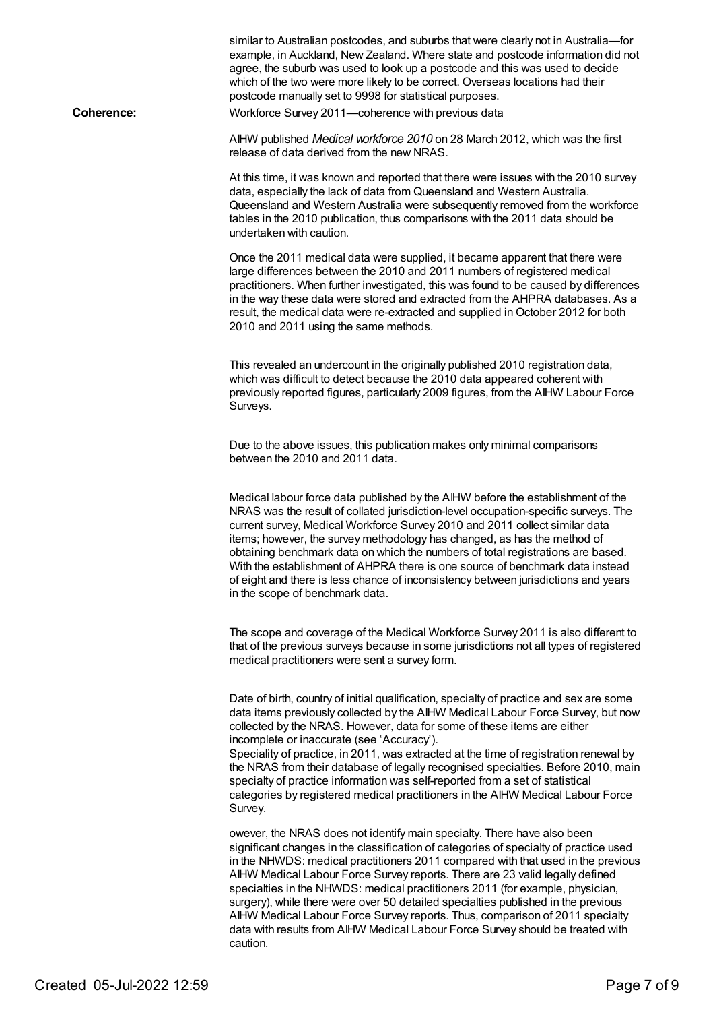|                   | similar to Australian postcodes, and suburbs that were clearly not in Australia-for<br>example, in Auckland, New Zealand. Where state and postcode information did not<br>agree, the suburb was used to look up a postcode and this was used to decide<br>which of the two were more likely to be correct. Overseas locations had their<br>postcode manually set to 9998 for statistical purposes.                                                                                                                                                                                                                                                                                       |
|-------------------|------------------------------------------------------------------------------------------------------------------------------------------------------------------------------------------------------------------------------------------------------------------------------------------------------------------------------------------------------------------------------------------------------------------------------------------------------------------------------------------------------------------------------------------------------------------------------------------------------------------------------------------------------------------------------------------|
| <b>Coherence:</b> | Workforce Survey 2011-coherence with previous data                                                                                                                                                                                                                                                                                                                                                                                                                                                                                                                                                                                                                                       |
|                   | AIHW published Medical workforce 2010 on 28 March 2012, which was the first<br>release of data derived from the new NRAS.                                                                                                                                                                                                                                                                                                                                                                                                                                                                                                                                                                |
|                   | At this time, it was known and reported that there were issues with the 2010 survey<br>data, especially the lack of data from Queensland and Western Australia.<br>Queensland and Western Australia were subsequently removed from the workforce<br>tables in the 2010 publication, thus comparisons with the 2011 data should be<br>undertaken with caution.                                                                                                                                                                                                                                                                                                                            |
|                   | Once the 2011 medical data were supplied, it became apparent that there were<br>large differences between the 2010 and 2011 numbers of registered medical<br>practitioners. When further investigated, this was found to be caused by differences<br>in the way these data were stored and extracted from the AHPRA databases. As a<br>result, the medical data were re-extracted and supplied in October 2012 for both<br>2010 and 2011 using the same methods.                                                                                                                                                                                                                         |
|                   | This revealed an undercount in the originally published 2010 registration data,<br>which was difficult to detect because the 2010 data appeared coherent with<br>previously reported figures, particularly 2009 figures, from the AIHW Labour Force<br>Surveys.                                                                                                                                                                                                                                                                                                                                                                                                                          |
|                   | Due to the above issues, this publication makes only minimal comparisons<br>between the 2010 and 2011 data.                                                                                                                                                                                                                                                                                                                                                                                                                                                                                                                                                                              |
|                   | Medical labour force data published by the AIHW before the establishment of the<br>NRAS was the result of collated jurisdiction-level occupation-specific surveys. The<br>current survey, Medical Workforce Survey 2010 and 2011 collect similar data<br>items; however, the survey methodology has changed, as has the method of<br>obtaining benchmark data on which the numbers of total registrations are based.<br>With the establishment of AHPRA there is one source of benchmark data instead<br>of eight and there is less chance of inconsistency between jurisdictions and years<br>in the scope of benchmark data.                                                           |
|                   | The scope and coverage of the Medical Workforce Survey 2011 is also different to<br>that of the previous surveys because in some jurisdictions not all types of registered<br>medical practitioners were sent a survey form.                                                                                                                                                                                                                                                                                                                                                                                                                                                             |
|                   | Date of birth, country of initial qualification, specialty of practice and sex are some<br>data items previously collected by the AIHW Medical Labour Force Survey, but now<br>collected by the NRAS. However, data for some of these items are either<br>incomplete or inaccurate (see 'Accuracy').<br>Speciality of practice, in 2011, was extracted at the time of registration renewal by<br>the NRAS from their database of legally recognised specialties. Before 2010, main<br>specialty of practice information was self-reported from a set of statistical<br>categories by registered medical practitioners in the AIHW Medical Labour Force<br>Survey.                        |
|                   | owever, the NRAS does not identify main specialty. There have also been<br>significant changes in the classification of categories of specialty of practice used<br>in the NHWDS: medical practitioners 2011 compared with that used in the previous<br>AIHW Medical Labour Force Survey reports. There are 23 valid legally defined<br>specialties in the NHWDS: medical practitioners 2011 (for example, physician,<br>surgery), while there were over 50 detailed specialties published in the previous<br>AIHW Medical Labour Force Survey reports. Thus, comparison of 2011 specialty<br>data with results from AIHW Medical Labour Force Survey should be treated with<br>caution. |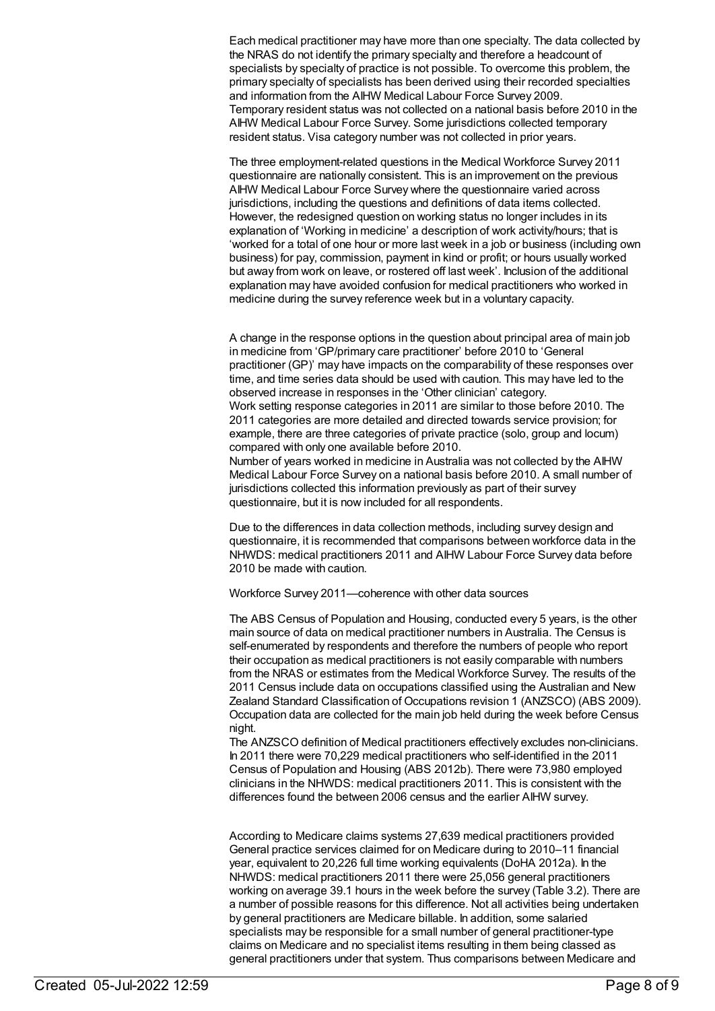Each medical practitioner may have more than one specialty. The data collected by the NRAS do not identify the primary specialty and therefore a headcount of specialists by specialty of practice is not possible. To overcome this problem, the primary specialty of specialists has been derived using their recorded specialties and information from the AIHW Medical Labour Force Survey 2009. Temporary resident status was not collected on a national basis before 2010 in the AIHW Medical Labour Force Survey. Some jurisdictions collected temporary resident status. Visa category number was not collected in prior years.

The three employment-related questions in the Medical Workforce Survey 2011 questionnaire are nationally consistent. This is an improvement on the previous AIHW Medical Labour Force Survey where the questionnaire varied across jurisdictions, including the questions and definitions of data items collected. However, the redesigned question on working status no longer includes in its explanation of 'Working in medicine' a description of work activity/hours; that is 'worked for a total of one hour or more last week in a job or business (including own business) for pay, commission, payment in kind or profit; or hours usually worked but away from work on leave, or rostered off last week'. Inclusion of the additional explanation may have avoided confusion for medical practitioners who worked in medicine during the survey reference week but in a voluntary capacity.

A change in the response options in the question about principal area of main job in medicine from 'GP/primary care practitioner' before 2010 to 'General practitioner (GP)' may have impacts on the comparability of these responses over time, and time series data should be used with caution. This may have led to the observed increase in responses in the 'Other clinician' category. Work setting response categories in 2011 are similar to those before 2010. The 2011 categories are more detailed and directed towards service provision; for example, there are three categories of private practice (solo, group and locum) compared with only one available before 2010. Number of years worked in medicine in Australia was not collected by the AIHW Medical Labour Force Survey on a national basis before 2010. A small number of

jurisdictions collected this information previously as part of their survey questionnaire, but it is now included for all respondents.

Due to the differences in data collection methods, including survey design and questionnaire, it is recommended that comparisons between workforce data in the NHWDS: medical practitioners 2011 and AIHW Labour Force Survey data before 2010 be made with caution.

Workforce Survey 2011—coherence with other data sources

The ABS Census of Population and Housing, conducted every 5 years, is the other main source of data on medical practitioner numbers in Australia. The Census is self-enumerated by respondents and therefore the numbers of people who report their occupation as medical practitioners is not easily comparable with numbers from the NRAS or estimates from the Medical Workforce Survey. The results of the 2011 Census include data on occupations classified using the Australian and New Zealand Standard Classification of Occupations revision 1 (ANZSCO) (ABS 2009). Occupation data are collected for the main job held during the week before Census night.

The ANZSCO definition of Medical practitioners effectively excludes non-clinicians. In 2011 there were 70,229 medical practitioners who self-identified in the 2011 Census of Population and Housing (ABS 2012b). There were 73,980 employed clinicians in the NHWDS: medical practitioners 2011. This is consistent with the differences found the between 2006 census and the earlier AIHW survey.

According to Medicare claims systems 27,639 medical practitioners provided General practice services claimed for on Medicare during to 2010–11 financial year, equivalent to 20,226 full time working equivalents (DoHA 2012a). In the NHWDS: medical practitioners 2011 there were 25,056 general practitioners working on average 39.1 hours in the week before the survey (Table 3.2). There are a number of possible reasons for this difference. Not all activities being undertaken by general practitioners are Medicare billable. In addition, some salaried specialists may be responsible for a small number of general practitioner-type claims on Medicare and no specialist items resulting in them being classed as general practitioners under that system. Thus comparisons between Medicare and